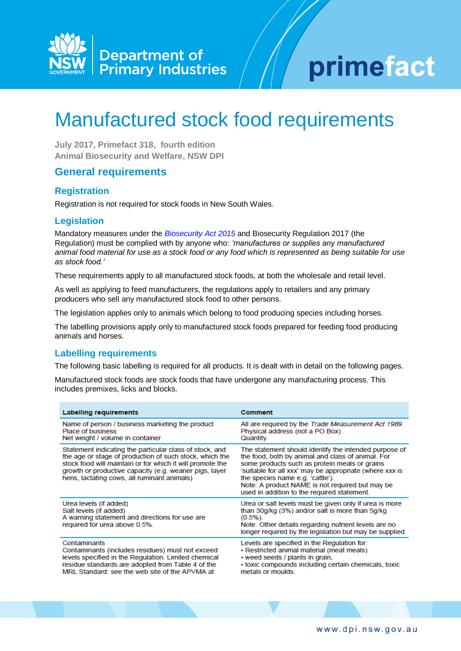

# primefact

# Manufactured stock food requirements

**July 2017, Primefact 318, fourth edition Animal Biosecurity and Welfare, NSW DPI**

# **General requirements**

#### **Registration**

Registration is not required for stock foods in New South Wales.

## **Legislation**

Mandatory measures under the *[Biosecurity Act 2015](http://www.legislation.nsw.gov.au/#/view/act/2015/24)* and Biosecurity Regulation 2017 (the Regulation) must be complied with by anyone who: *'manufactures or supplies any manufactured animal food material for use as a stock food or any food which is represented as being suitable for use as stock food.'* 

These requirements apply to all manufactured stock foods, at both the wholesale and retail level.

As well as applying to feed manufacturers, the regulations apply to retailers and any primary producers who sell any manufactured stock food to other persons.

The legislation applies only to animals which belong to food producing species including horses.

The labelling provisions apply only to manufactured stock foods prepared for feeding food producing animals and horses.

#### **Labelling requirements**

The following basic labelling is required for all products. It is dealt with in detail on the following pages.

Manufactured stock foods are stock foods that have undergone any manufacturing process. This includes premixes, licks and blocks.

| Labelling requirements                                                                                                                                                                                                                                                                   | Comment                                                                                                                                                                                                                                                                                                                                                      |
|------------------------------------------------------------------------------------------------------------------------------------------------------------------------------------------------------------------------------------------------------------------------------------------|--------------------------------------------------------------------------------------------------------------------------------------------------------------------------------------------------------------------------------------------------------------------------------------------------------------------------------------------------------------|
| Name of person / business marketing the product<br><b>Place of business</b><br>Net weight / volume in container                                                                                                                                                                          | All are required by the Trade Measurement Act 1989.<br>Physical address (not a PO Box).<br>Quantity.                                                                                                                                                                                                                                                         |
| Statement indicating the particular class of stock, and<br>the age or stage of production of such stock, which the<br>stock food will maintain or for which it will promote the<br>growth or productive capacity (e.g. weaner pigs, layer<br>hens, lactating cows, all ruminant animals) | The statement should identify the intended purpose of<br>the food, both by animal and class of animal. For<br>some products such as protein meals or grains<br>'suitable for all xxx' may be appropriate (where xxx is<br>the species name e.g. 'cattle').<br>Note: A product NAME is not required but may be<br>used in addition to the required statement. |
| Urea levels (if added)<br>Salt levels (if added)<br>A warning statement and directions for use are<br>required for urea above 0.5%.                                                                                                                                                      | Urea or salt levels must be given only if urea is more<br>than 30g/kg (3%) and/or salt is more than 5g/kg<br>$(0.5\%)$ .<br>Note. Other details regarding nutrient levels are no<br>longer required by the legislation but may be supplied.                                                                                                                  |
| Contaminants<br>Contaminants (includes residues) must not exceed<br>levels specified in the Regulation. Limited chemical<br>residue standards are adopted from Table 4 of the<br>MRL Standard: see the web site of the APVMA at                                                          | Levels are specified in the Regulation for:<br>• Restricted animal material (meat meals)<br>• weed seeds / plants in grain,<br>· toxic compounds including certain chemicals, toxic<br>metals or moulds.                                                                                                                                                     |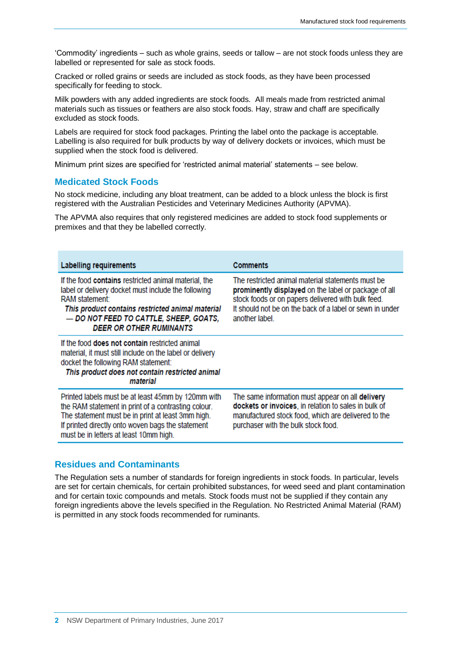'Commodity' ingredients – such as whole grains, seeds or tallow – are not stock foods unless they are labelled or represented for sale as stock foods.

Cracked or rolled grains or seeds are included as stock foods, as they have been processed specifically for feeding to stock.

Milk powders with any added ingredients are stock foods. All meals made from restricted animal materials such as tissues or feathers are also stock foods. Hay, straw and chaff are specifically excluded as stock foods.

Labels are required for stock food packages. Printing the label onto the package is acceptable. Labelling is also required for bulk products by way of delivery dockets or invoices, which must be supplied when the stock food is delivered.

Minimum print sizes are specified for 'restricted animal material' statements – see below.

#### **Medicated Stock Foods**

No stock medicine, including any bloat treatment, can be added to a block unless the block is first registered with the Australian Pesticides and Veterinary Medicines Authority (APVMA).

The APVMA also requires that only registered medicines are added to stock food supplements or premixes and that they be labelled correctly.

| <b>Labelling requirements</b>                                                                                                                                                                                                                                 | <b>Comments</b>                                                                                                                                                                                                                              |
|---------------------------------------------------------------------------------------------------------------------------------------------------------------------------------------------------------------------------------------------------------------|----------------------------------------------------------------------------------------------------------------------------------------------------------------------------------------------------------------------------------------------|
| If the food contains restricted animal material, the<br>label or delivery docket must include the following<br>RAM statement:<br>This product contains restricted animal material<br>- DO NOT FEED TO CATTLE, SHEEP, GOATS,<br><b>DEER OR OTHER RUMINANTS</b> | The restricted animal material statements must be<br>prominently displayed on the label or package of all<br>stock foods or on papers delivered with bulk feed.<br>It should not be on the back of a label or sewn in under<br>another label |
| If the food <b>does not contain</b> restricted animal<br>material, it must still include on the label or delivery<br>docket the following RAM statement:<br>This product does not contain restricted animal<br>material                                       |                                                                                                                                                                                                                                              |
| Printed labels must be at least 45mm by 120mm with<br>the RAM statement in print of a contrasting colour.<br>The statement must be in print at least 3mm high.<br>If printed directly onto woven bags the statement<br>must be in letters at least 10mm high. | The same information must appear on all delivery<br>dockets or invoices, in relation to sales in bulk of<br>manufactured stock food, which are delivered to the<br>purchaser with the bulk stock food.                                       |

#### **Residues and Contaminants**

The Regulation sets a number of standards for foreign ingredients in stock foods. In particular, levels are set for certain chemicals, for certain prohibited substances, for weed seed and plant contamination and for certain toxic compounds and metals. Stock foods must not be supplied if they contain any foreign ingredients above the levels specified in the Regulation. No Restricted Animal Material (RAM) is permitted in any stock foods recommended for ruminants.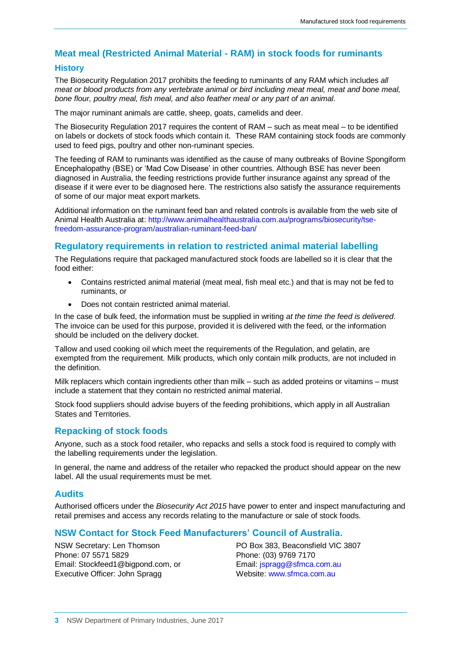# **Meat meal (Restricted Animal Material - RAM) in stock foods for ruminants**

#### **History**

The Biosecurity Regulation 2017 prohibits the feeding to ruminants of any RAM which includes *all meat or blood products from any vertebrate animal or bird including meat meal, meat and bone meal, bone flour, poultry meal, fish meal, and also feather meal or any part of an animal*.

The major ruminant animals are cattle, sheep, goats, camelids and deer.

The Biosecurity Regulation 2017 requires the content of RAM – such as meat meal – to be identified on labels or dockets of stock foods which contain it. These RAM containing stock foods are commonly used to feed pigs, poultry and other non-ruminant species.

The feeding of RAM to ruminants was identified as the cause of many outbreaks of Bovine Spongiform Encephalopathy (BSE) or 'Mad Cow Disease' in other countries. Although BSE has never been diagnosed in Australia, the feeding restrictions provide further insurance against any spread of the disease if it were ever to be diagnosed here. The restrictions also satisfy the assurance requirements of some of our major meat export markets.

Additional information on the ruminant feed ban and related controls is available from the web site of Animal Health Australia at: [http://www.animalhealthaustralia.com.au/programs/biosecurity/tse](http://www.animalhealthaustralia.com.au/programs/biosecurity/tse-freedom-assurance-program/australian-ruminant-feed-ban/)[freedom-assurance-program/australian-ruminant-feed-ban/](http://www.animalhealthaustralia.com.au/programs/biosecurity/tse-freedom-assurance-program/australian-ruminant-feed-ban/)

## **Regulatory requirements in relation to restricted animal material labelling**

The Regulations require that packaged manufactured stock foods are labelled so it is clear that the food either:

- Contains restricted animal material (meat meal, fish meal etc.) and that is may not be fed to ruminants, or
- Does not contain restricted animal material.

In the case of bulk feed, the information must be supplied in writing *at the time the feed is delivered*. The invoice can be used for this purpose, provided it is delivered with the feed, or the information should be included on the delivery docket.

Tallow and used cooking oil which meet the requirements of the Regulation, and gelatin, are exempted from the requirement. Milk products, which only contain milk products, are not included in the definition.

Milk replacers which contain ingredients other than milk – such as added proteins or vitamins – must include a statement that they contain no restricted animal material.

Stock food suppliers should advise buyers of the feeding prohibitions, which apply in all Australian States and Territories.

#### **Repacking of stock foods**

Anyone, such as a stock food retailer, who repacks and sells a stock food is required to comply with the labelling requirements under the legislation.

In general, the name and address of the retailer who repacked the product should appear on the new label. All the usual requirements must be met.

#### **Audits**

Authorised officers under the *Biosecurity Act 2015* have power to enter and inspect manufacturing and retail premises and access any records relating to the manufacture or sale of stock foods.

# **NSW Contact for Stock Feed Manufacturers' Council of Australia.**

NSW Secretary: Len Thomson Phone: 07 5571 5829 Email: Stockfeed1@bigpond.com, or Executive Officer: John Spragg

PO Box 383, Beaconsfield VIC 3807 Phone: (03) 9769 7170 Email: [jspragg@sfmca.com.au](mailto:jspragg@sfmca.com.au) Website: [www.sfmca.com.au](http://www.sfmca.com.au/)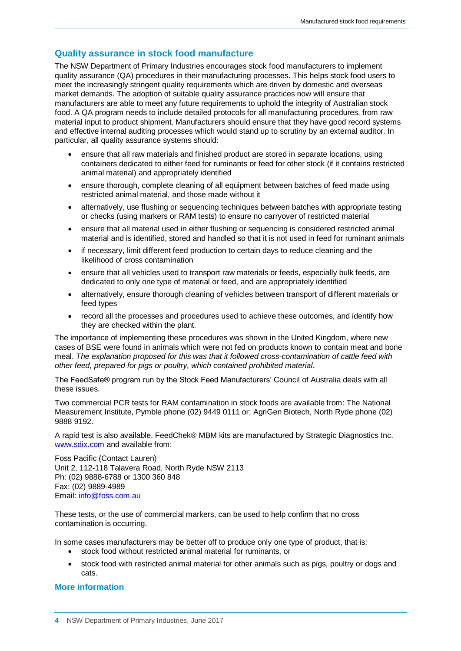# **Quality assurance in stock food manufacture**

The NSW Department of Primary Industries encourages stock food manufacturers to implement quality assurance (QA) procedures in their manufacturing processes. This helps stock food users to meet the increasingly stringent quality requirements which are driven by domestic and overseas market demands. The adoption of suitable quality assurance practices now will ensure that manufacturers are able to meet any future requirements to uphold the integrity of Australian stock food. A QA program needs to include detailed protocols for all manufacturing procedures, from raw material input to product shipment. Manufacturers should ensure that they have good record systems and effective internal auditing processes which would stand up to scrutiny by an external auditor. In particular, all quality assurance systems should:

- ensure that all raw materials and finished product are stored in separate locations, using containers dedicated to either feed for ruminants or feed for other stock (if it contains restricted animal material) and appropriately identified
- ensure thorough, complete cleaning of all equipment between batches of feed made using restricted animal material, and those made without it
- alternatively, use flushing or sequencing techniques between batches with appropriate testing or checks (using markers or RAM tests) to ensure no carryover of restricted material
- ensure that all material used in either flushing or sequencing is considered restricted animal material and is identified, stored and handled so that it is not used in feed for ruminant animals
- if necessary, limit different feed production to certain days to reduce cleaning and the likelihood of cross contamination
- ensure that all vehicles used to transport raw materials or feeds, especially bulk feeds, are dedicated to only one type of material or feed, and are appropriately identified
- alternatively, ensure thorough cleaning of vehicles between transport of different materials or feed types
- record all the processes and procedures used to achieve these outcomes, and identify how they are checked within the plant.

The importance of implementing these procedures was shown in the United Kingdom, where new cases of BSE were found in animals which were not fed on products known to contain meat and bone meal. *The explanation proposed for this was that it followed cross-contamination of cattle feed with other feed, prepared for pigs or poultry, which contained prohibited material.* 

The FeedSafe® program run by the Stock Feed Manufacturers' Council of Australia deals with all these issues.

Two commercial PCR tests for RAM contamination in stock foods are available from: The National Measurement Institute, Pymble phone (02) 9449 0111 or; AgriGen Biotech, North Ryde phone (02) 9888 9192.

A rapid test is also available. FeedChek® MBM kits are manufactured by Strategic Diagnostics Inc. [www.sdix.com](http://www.sdix.com/) and available from:

Foss Pacific (Contact Lauren) Unit 2, 112-118 Talavera Road, North Ryde NSW 2113 Ph: (02) 9888-6788 or 1300 360 848 Fax: (02) 9889-4989 Email: [info@foss.com.au](mailto:info@foss.com.au)

These tests, or the use of commercial markers, can be used to help confirm that no cross contamination is occurring.

In some cases manufacturers may be better off to produce only one type of product, that is:

- stock food without restricted animal material for ruminants, or
- stock food with restricted animal material for other animals such as pigs, poultry or dogs and cats.

#### **More information**